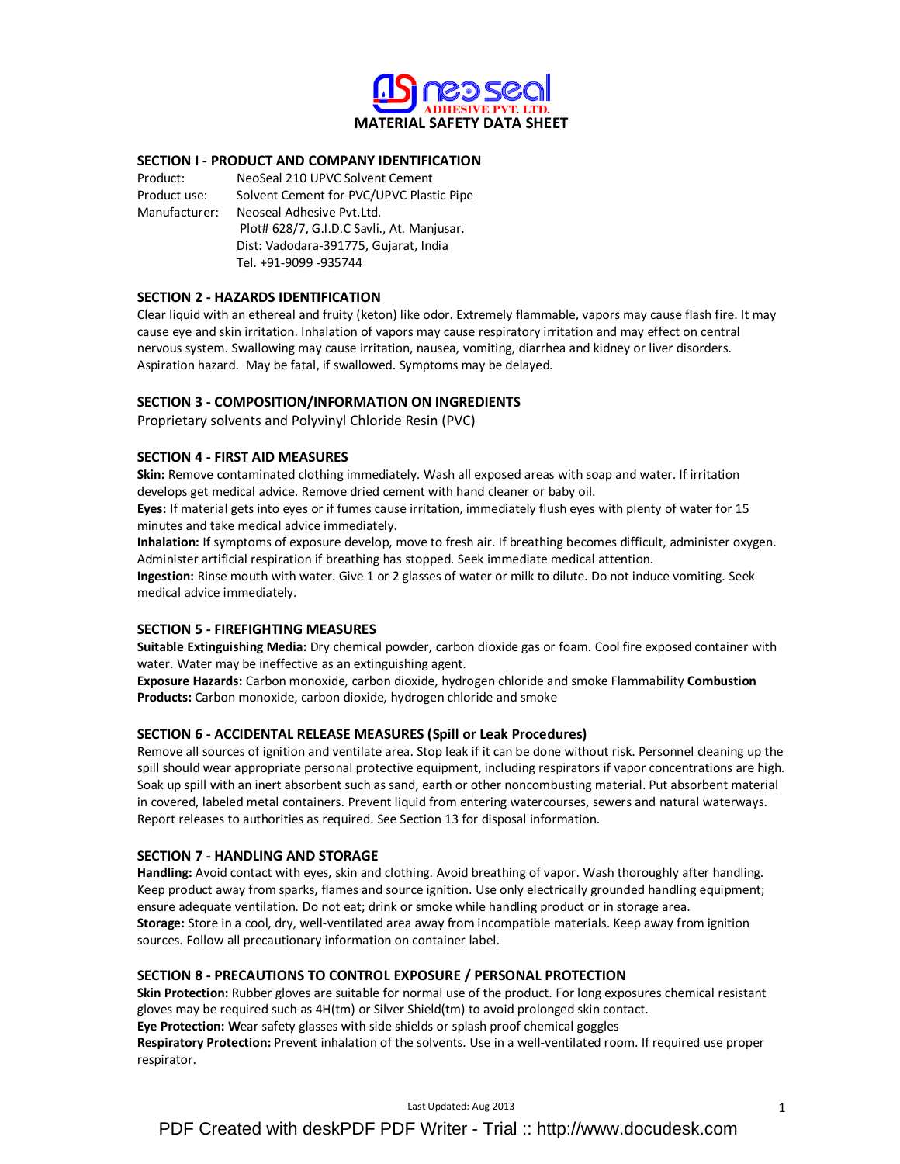

## SECTION I - PRODUCT AND COMPANY IDENTIFICATION

Product: NeoSeal 210 UPVC Solvent Cement Product use: Solvent Cement for PVC/UPVC Plastic Pipe Manufacturer: Neoseal Adhesive Pvt.Ltd. Plot# 628/7, G.I.D.C Savli., At. Manjusar. Dist: Vadodara-391775, Gujarat, India Tel. +91-9099 -935744

## SECTION 2 - HAZARDS IDENTIFICATION

Clear liquid with an ethereal and fruity (keton) like odor. Extremely flammable, vapors may cause flash fire. It may cause eye and skin irritation. Inhalation of vapors may cause respiratory irritation and may effect on central nervous system. Swallowing may cause irritation, nausea, vomiting, diarrhea and kidney or liver disorders. Aspiration hazard. May be fatal, if swallowed. Symptoms may be delayed.

# SECTION 3 - COMPOSITION/INFORMATION ON INGREDIENTS

Proprietary solvents and Polyvinyl Chloride Resin (PVC)

## SECTION 4 - FIRST AID MEASURES

Skin: Remove contaminated clothing immediately. Wash all exposed areas with soap and water. If irritation develops get medical advice. Remove dried cement with hand cleaner or baby oil.

Eyes: If material gets into eyes or if fumes cause irritation, immediately flush eyes with plenty of water for 15 minutes and take medical advice immediately.

Inhalation: If symptoms of exposure develop, move to fresh air. If breathing becomes difficult, administer oxygen. Administer artificial respiration if breathing has stopped. Seek immediate medical attention.

Ingestion: Rinse mouth with water. Give 1 or 2 glasses of water or milk to dilute. Do not induce vomiting. Seek medical advice immediately.

# SECTION 5 - FIREFIGHTING MEASURES

Suitable Extinguishing Media: Dry chemical powder, carbon dioxide gas or foam. Cool fire exposed container with water. Water may be ineffective as an extinguishing agent.

Exposure Hazards: Carbon monoxide, carbon dioxide, hydrogen chloride and smoke Flammability Combustion Products: Carbon monoxide, carbon dioxide, hydrogen chloride and smoke

# SECTION 6 - ACCIDENTAL RELEASE MEASURES (Spill or Leak Procedures)

Remove all sources of ignition and ventilate area. Stop leak if it can be done without risk. Personnel cleaning up the spill should wear appropriate personal protective equipment, including respirators if vapor concentrations are high. Soak up spill with an inert absorbent such as sand, earth or other noncombusting material. Put absorbent material in covered, labeled metal containers. Prevent liquid from entering watercourses, sewers and natural waterways. Report releases to authorities as required. See Section 13 for disposal information.

### SECTION 7 - HANDLING AND STORAGE

Handling: Avoid contact with eyes, skin and clothing. Avoid breathing of vapor. Wash thoroughly after handling. Keep product away from sparks, flames and source ignition. Use only electrically grounded handling equipment; ensure adequate ventilation. Do not eat; drink or smoke while handling product or in storage area. Storage: Store in a cool, dry, well-ventilated area away from incompatible materials. Keep away from ignition sources. Follow all precautionary information on container label.

### SECTION 8 - PRECAUTIONS TO CONTROL EXPOSURE / PERSONAL PROTECTION

Skin Protection: Rubber gloves are suitable for normal use of the product. For long exposures chemical resistant gloves may be required such as 4H(tm) or Silver Shield(tm) to avoid prolonged skin contact.

Eye Protection: Wear safety glasses with side shields or splash proof chemical goggles

Respiratory Protection: Prevent inhalation of the solvents. Use in a well-ventilated room. If required use proper respirator.